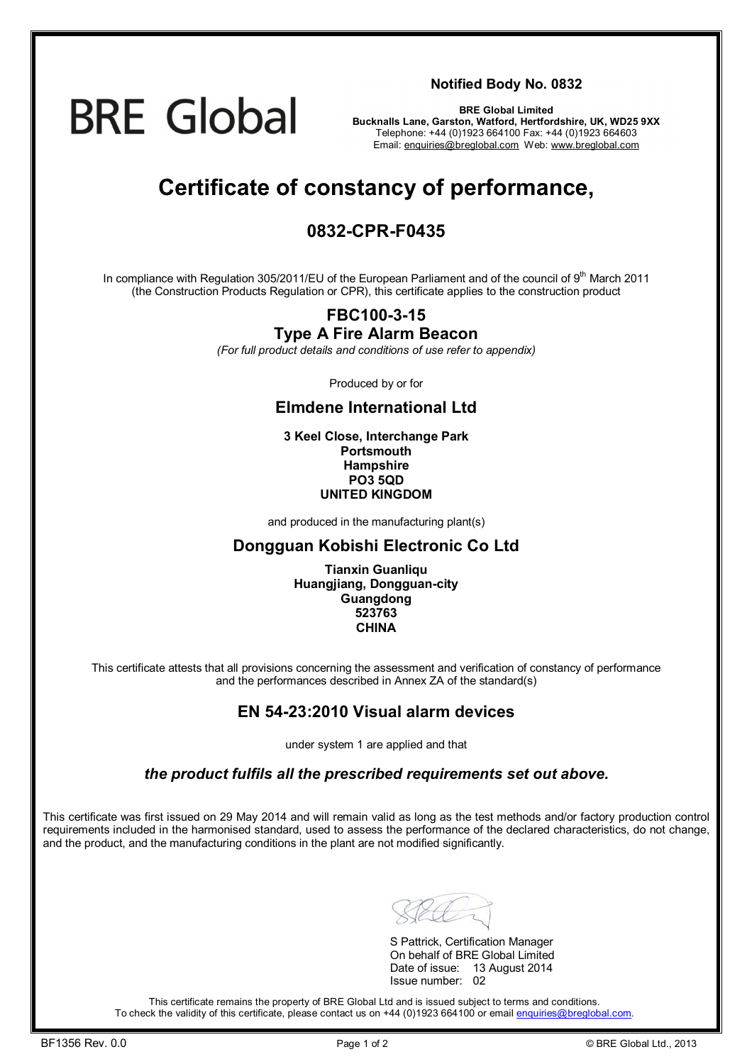## **BRE Global**

**Notified Body No. 0832**

**BRE Global Limited Bucknalls Lane, Garston, Watford, Hertfordshire, UK, WD25 9XX**  Telephone: +44 (0)1923 664100 Fax: +44 (0)1923 664603 Email: [enquiries@breglobal.com](mailto:enquiries@breglobal.com) Web: [www.breglobal.com](http://www.breglobal.com)

### **Certificate of constancy of performance,**

#### **0832-CPR-F0435**

In compliance with Regulation 305/2011/EU of the European Parliament and of the council of 9<sup>th</sup> March 2011 (the Construction Products Regulation or CPR), this certificate applies to the construction product

#### **FBC100-3-15 Type A Fire Alarm Beacon**

*(For full product details and conditions of use refer to appendix)* 

Produced by or for

#### **Elmdene International Ltd**

**3 Keel Close, Interchange Park Portsmouth Hampshire PO3 5QD UNITED KINGDOM**

and produced in the manufacturing plant(s)

#### **Dongguan Kobishi Electronic Co Ltd**

**Tianxin Guanliqu Huangjiang, Dongguan-city Guangdong 523763 CHINA**

This certificate attests that all provisions concerning the assessment and verification of constancy of performance and the performances described in Annex ZA of the standard(s)

#### **EN 54-23:2010 Visual alarm devices**

under system 1 are applied and that

*the product fulfils all the prescribed requirements set out above.* 

This certificate was first issued on 29 May 2014 and will remain valid as long as the test methods and/or factory production control requirements included in the harmonised standard, used to assess the performance of the declared characteristics, do not change, and the product, and the manufacturing conditions in the plant are not modified significantly.

S Pattrick, Certification Manager On behalf of BRE Global Limited Date of issue: 13 August 2014 Issue number: 02

This certificate remains the property of BRE Global Ltd and is issued subject to terms and conditions. To check the validity of this certificate, please contact us on +44 (0)1923 664100 or email [enquiries@breglobal.com](mailto:enquiries@breglobal.com).